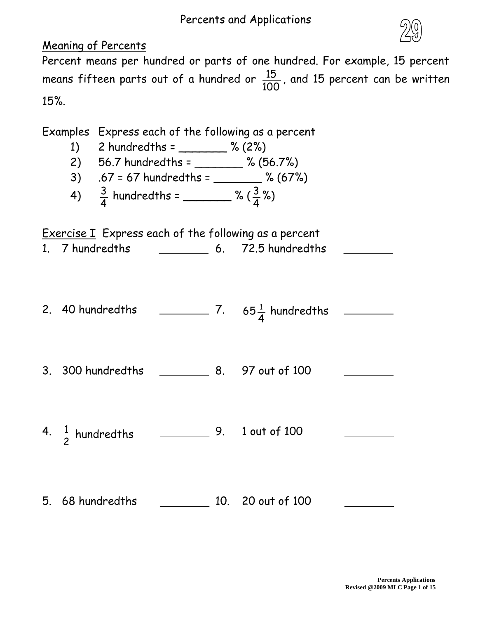## Percents and Applications



## Meaning of Percents

Percent means per hundred or parts of one hundred. For example, 15 percent means fifteen parts out of a hundred or 100  $\frac{15}{20}$ , and 15 percent can be written 15%.

Examples Express each of the following as a percent

- 1) 2 hundredths =  $\frac{6}{2}$  % (2%)
- 2) 56.7 hundredths = \_\_\_\_\_\_\_ % (56.7%)
- 3) .67 = 67 hundredths = \_\_\_\_\_\_\_ % (67%)
- 4) 4  $\frac{3}{4}$  hundredths = \_\_\_\_\_\_\_\_ % ( 4  $\frac{3}{4}$ %)

Exercise I Express each of the following as a percent

- 1. 7 hundredths 6. 72.5 hundredths
- 2. 40 hundredths 7. 4 65 $\frac{1}{4}$  hundredths
- 3. 300 hundredths 8. 97 out of 100
- 4. 2 1 hundredths 9. 1 out of 100
- 5. 68 hundredths 10. 20 out of 100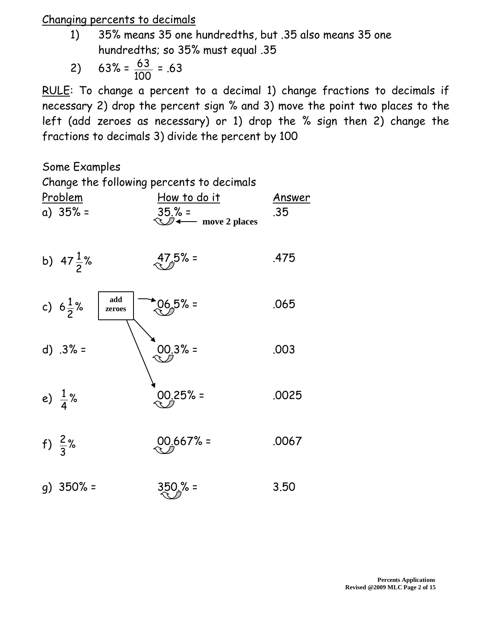## Changing percents to decimals

1) 35% means 35 one hundredths, but .35 also means 35 one hundredths; so 35% must equal .35

$$
2) \quad 63\% = \frac{63}{100} = .63
$$

RULE: To change a percent to a decimal 1) change fractions to decimals if necessary 2) drop the percent sign % and 3) move the point two places to the left (add zeroes as necessary) or 1) drop the % sign then 2) change the fractions to decimals 3) divide the percent by 100

Some Examples

| <u>Problem</u><br>a) $35\% =$ | Change the following percents to decimals<br><u>How to do it</u><br>$35.% =$<br>— move 2 places | <u>Answer</u><br>.35 |
|-------------------------------|-------------------------------------------------------------------------------------------------|----------------------|
| b) $47\frac{1}{2}\%$          | $47.5% =$                                                                                       | .475                 |
| c) $6\frac{1}{2}\%$           | add<br>$206.5% =$<br>zeroes                                                                     | .065                 |
| $d) .3% =$                    | $00.3% =$                                                                                       | .003                 |
| e) $\frac{1}{4}$ %            | $00.25% =$                                                                                      | .0025                |
| f) $\frac{2}{3}$ %            | $00.667% =$                                                                                     | .0067                |
| $g)$ 350% =                   | $350.% =$                                                                                       | 3.50                 |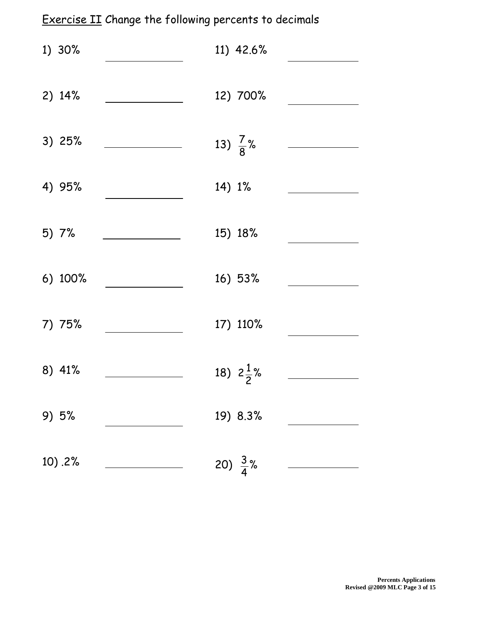# Exercise II Change the following percents to decimals

| 1) 30%  | 11) 42.6%            |  |
|---------|----------------------|--|
| 2) 14%  | 12) 700%             |  |
| 3) 25%  | 13) $\frac{7}{8}$ %  |  |
| 4) 95%  | 14) 1%               |  |
| 5) 7%   | 15) 18%              |  |
| 6) 100% | 16) 53%              |  |
| 7) 75%  | 17) 110%             |  |
| 8) 41%  | 18) $2\frac{1}{2}\%$ |  |
| 9) 5%   | 19) 8.3%             |  |
| 10) .2% | 20) $\frac{3}{4}$ %  |  |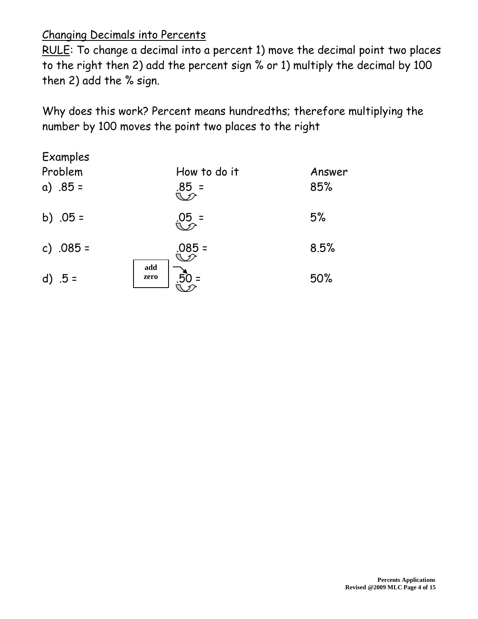## Changing Decimals into Percents

RULE: To change a decimal into a percent 1) move the decimal point two places to the right then 2) add the percent sign % or 1) multiply the decimal by 100 then 2) add the % sign.

Why does this work? Percent means hundredths; therefore multiplying the number by 100 moves the point two places to the right

| Examples<br>Problem<br>a) $.85 =$ | How to do it<br>$.85 =$ | Answer<br>85% |
|-----------------------------------|-------------------------|---------------|
| b) $.05 =$                        | $.05 =$                 | 5%            |
| c) $.085 =$                       | $.085 =$                | 8.5%          |
| d) $.5 =$                         | add<br>zero             | 50%           |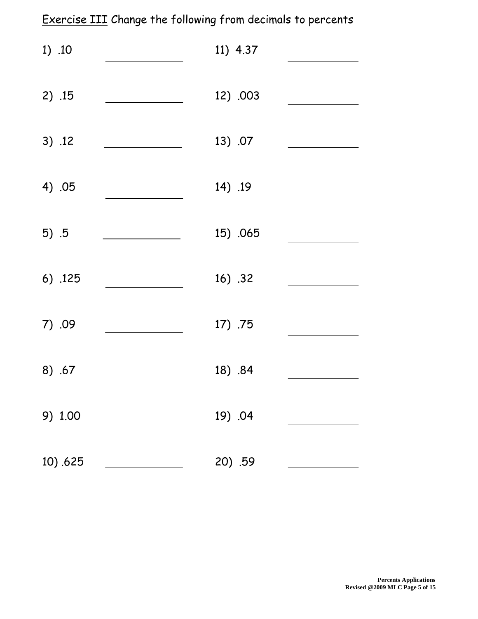# Exercise III Change the following from decimals to percents

| 1) .10  | 11) 4.37 |  |
|---------|----------|--|
| 2) .15  | 12) .003 |  |
| 3) .12  | 13) .07  |  |
| 4) .05  | 14) .19  |  |
| $5)$ .5 | 15) .065 |  |
| 6) .125 | 16) .32  |  |
| 7) .09  | 17) .75  |  |
| 8) .67  | 18) .84  |  |
| 9) 1.00 | 19) .04  |  |
| 10).625 | 20) .59  |  |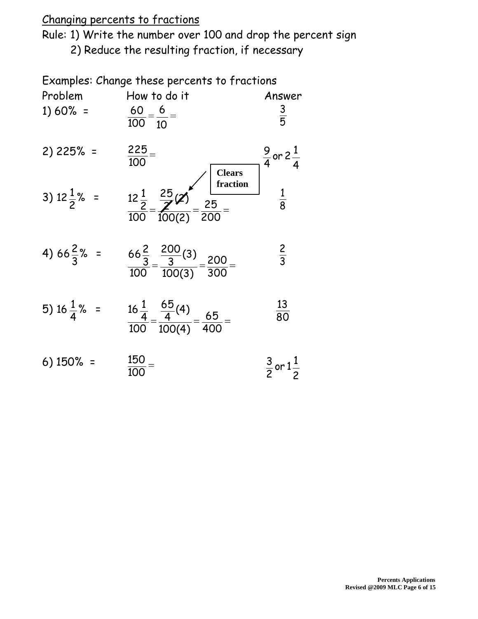## Changing percents to fractions

Rule: 1) Write the number over 100 and drop the percent sign 2) Reduce the resulting fraction, if necessary

Examples: Change these percents to fractions

| Problem<br>$1) 60% =$   | How to do it<br>$\frac{60}{100} = \frac{6}{10} =$                                        | Answer<br>$rac{3}{5}$            |
|-------------------------|------------------------------------------------------------------------------------------|----------------------------------|
| 2) 225% =               | $\frac{225}{100}$ =<br><b>Clears</b>                                                     | $\frac{9}{4}$ or 2 $\frac{1}{4}$ |
| 3) $12\frac{1}{2}\%$ =  | fraction<br>$\frac{12\frac{1}{2}}{100} = \frac{\frac{25}{2}}{100(2)} = \frac{25}{200} =$ | $\frac{1}{8}$                    |
| 4) 66 $\frac{2}{3}$ % = | $\frac{66\frac{2}{3}}{100} = \frac{\frac{200}{3}(3)}{100(3)} = \frac{200}{300} =$        | $rac{2}{3}$                      |
| 5) 16 $\frac{1}{4}$ % = | $\frac{16\frac{1}{4}}{100} = \frac{\frac{65}{4}(4)}{100(4)} = \frac{65}{400} =$          | $\frac{13}{80}$                  |
| $6)$ 150% =             | $\frac{150}{100}$ =                                                                      | $\frac{3}{2}$ or $1\frac{1}{2}$  |

 $\overline{100}$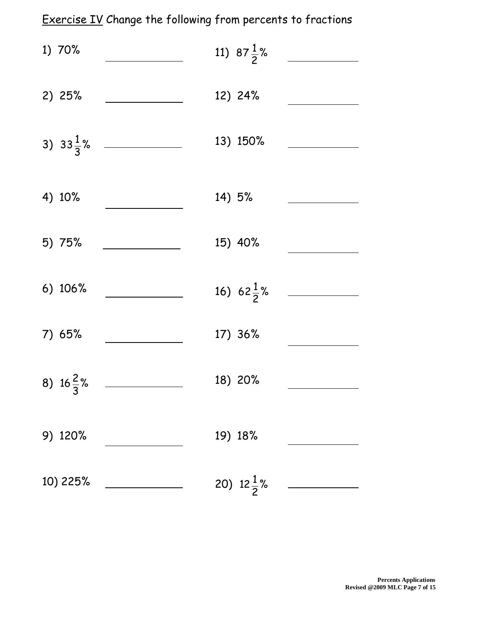# Exercise IV Change the following from percents to fractions

| 1) 70%               |                      | 11) $87\frac{1}{2}\%$ |  |
|----------------------|----------------------|-----------------------|--|
| 2) 25%               |                      | 12) 24%               |  |
|                      | 3) $33\frac{1}{3}$ % | 13) 150%              |  |
| 4) 10%               |                      | 14) 5%                |  |
| 5) 75%               |                      | 15) 40%               |  |
| 6) 106%              |                      | 16) $62\frac{1}{2}\%$ |  |
| 7) 65%               |                      | 17) 36%               |  |
| 8) $16\frac{2}{3}\%$ |                      | 18) 20%               |  |
| 9) 120%              |                      | 19) 18%               |  |
| 10) 225%             |                      | 20) $12\frac{1}{2}\%$ |  |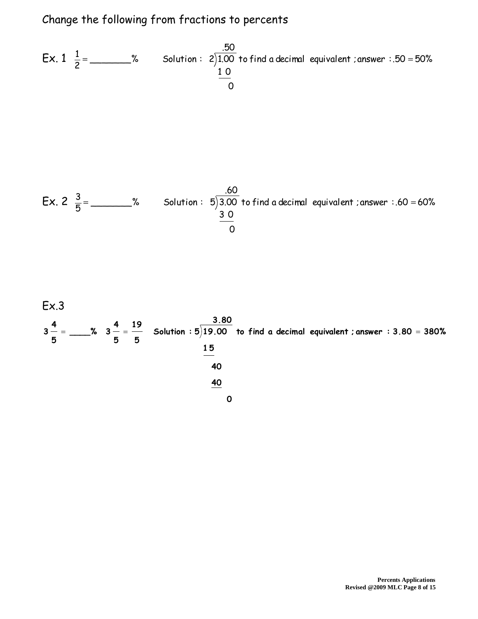## Change the following from fractions to percents

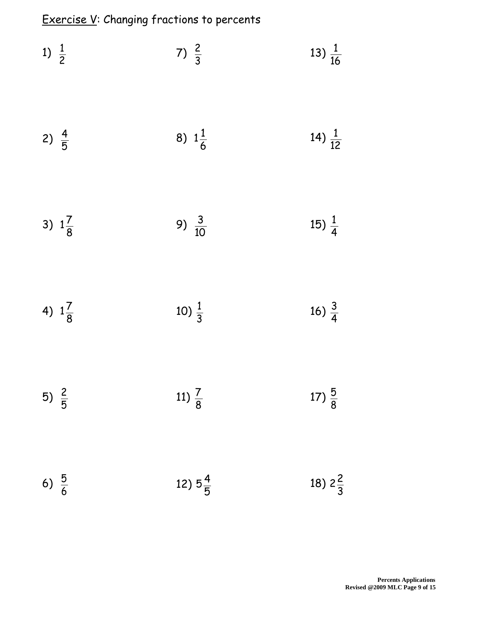Exercise V: Changing fractions to percents

| 1) $\frac{1}{2}$  | 7) $\frac{2}{3}$   | 13) $\frac{1}{16}$ |
|-------------------|--------------------|--------------------|
| 2) $\frac{4}{5}$  | 8) $1\frac{1}{6}$  | 14) $\frac{1}{12}$ |
| 3) $1\frac{7}{8}$ | 9) $\frac{3}{10}$  | 15) $\frac{1}{4}$  |
| 4) $1\frac{7}{8}$ | 10) $\frac{1}{3}$  | 16) $\frac{3}{4}$  |
| 5) $\frac{2}{5}$  | 11) $\frac{7}{8}$  | 17) $\frac{5}{8}$  |
| 6) $\frac{5}{6}$  | 12) $5\frac{4}{5}$ | 18) $2\frac{2}{3}$ |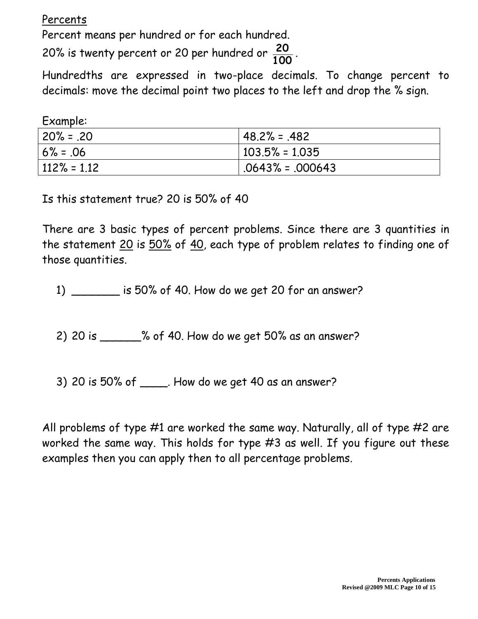Percents

Percent means per hundred or for each hundred.

20% is twenty percent or 20 per hundred or **100 20** .

Hundredths are expressed in two-place decimals. To change percent to decimals: move the decimal point two places to the left and drop the % sign.

Example:

| $20\% = .20$   | $148.2\% = .482$     |
|----------------|----------------------|
| $6\% = 0.06$   | $ 103.5\% = 1.035$   |
| $112\% = 1.12$ | $ .0643\% = .000643$ |

Is this statement true? 20 is 50% of 40

There are 3 basic types of percent problems. Since there are 3 quantities in the statement 20 is 50% of 40, each type of problem relates to finding one of those quantities.

1) \_\_\_\_\_\_\_ is 50% of 40. How do we get 20 for an answer?

2) 20 is \_\_\_\_\_\_% of 40. How do we get 50% as an answer?

3) 20 is 50% of \_\_\_\_. How do we get 40 as an answer?

All problems of type #1 are worked the same way. Naturally, all of type #2 are worked the same way. This holds for type #3 as well. If you figure out these examples then you can apply then to all percentage problems.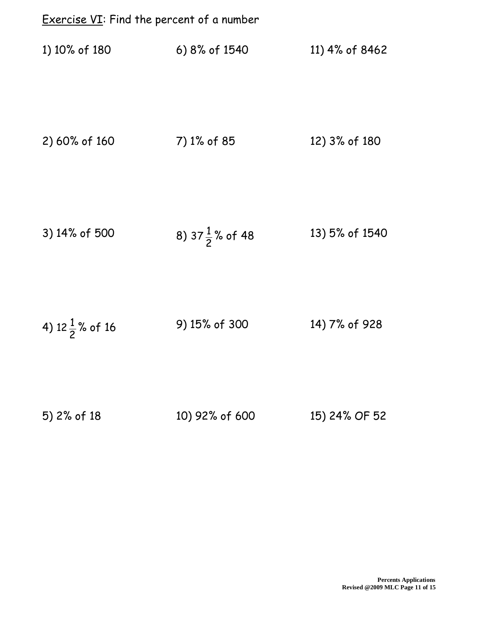| <b>Exercise VI:</b> Find the percent of a number |                             |                |
|--------------------------------------------------|-----------------------------|----------------|
| 1) 10% of 180                                    | 6) 8% of 1540               | 11) 4% of 8462 |
| 2) 60% of 160                                    | 7) 1% of 85                 | 12) 3% of 180  |
| 3) 14% of 500                                    | 8) 37 $\frac{1}{2}$ % of 48 | 13) 5% of 1540 |
| 4) $12\frac{1}{2}$ % of 16                       | 9) 15% of 300               | 14) 7% of 928  |
| 5) 2% of 18                                      | 10) 92% of 600              | 15) 24% OF 52  |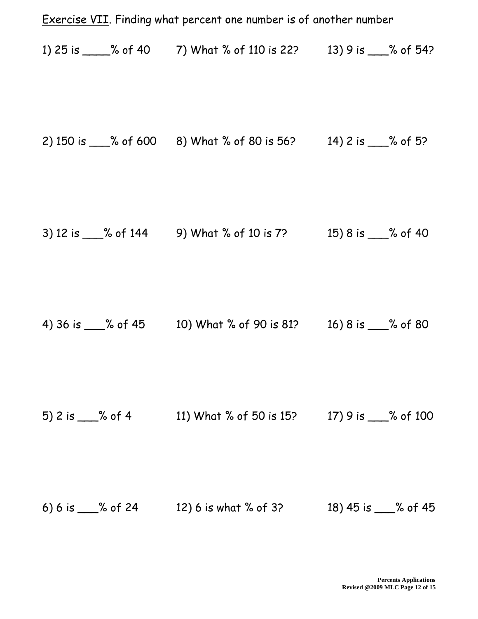|                        | <b>Exercise VII.</b> Finding what percent one number is of another number |                      |
|------------------------|---------------------------------------------------------------------------|----------------------|
|                        | 1) 25 is _____% of 40 7) What % of 110 is 22? 13) 9 is ____% of 54?       |                      |
|                        | 2) 150 is ___% of 600 8) What % of 80 is 56? 14) 2 is ___% of 5?          |                      |
|                        | 3) 12 is 66 144 9) What % of 10 is 7? 15) 8 is 6 % of 40                  |                      |
|                        | 4) 36 is ___% of 45 10) What % of 90 is 81? 16) 8 is ___% of 80           |                      |
| 5) 2 is $\_\_\%$ of 4  | 11) What % of 50 is 15?                                                   | 17) 9 is ___% of 100 |
| 6) 6 is $\_\_\%$ of 24 | 12) 6 is what % of 3?                                                     | 18) 45 is ___% of 45 |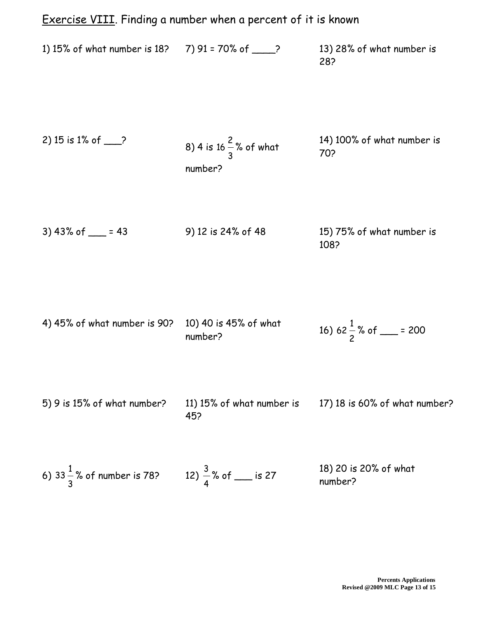# Exercise VIII. Finding a number when a percent of it is known 1) 15% of what number is 18? 7) 91 = 70% of \_\_\_\_? 13) 28% of what number is 28? 2) 15 is 1% of  $\_\$ 3 2  $16 - %$  of what number? 14) 100% of what number is 70? 3) 43% of \_\_\_ = 43 9) 12 is 24% of 48 15) 75% of what number is 108? 4) 45% of what number is 90? 10) 40 is 45% of what number? 2 1 62 % of \_\_\_ = 200 5) 9 is 15% of what number? 11) 15% of what number is 45? 17) 18 is 60% of what number?

6) 
$$
33\frac{1}{3}
$$
% of number is 78?   
12)  $\frac{3}{4}$ % of \_\_\_\_\_\_ is 27  
13) 20 is 20% of what number?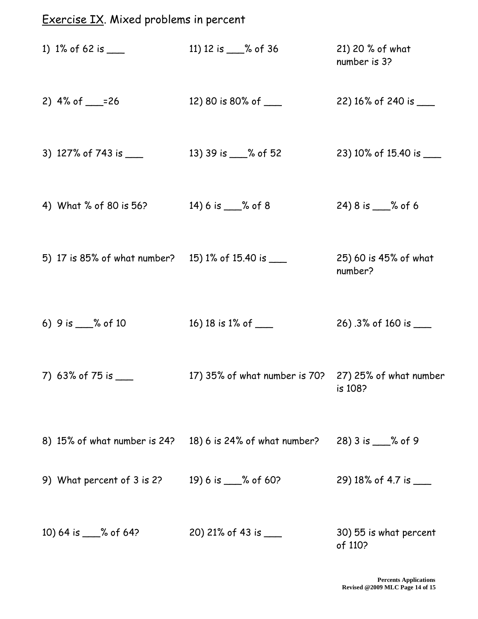# Exercise IX. Mixed problems in percent

| 1) 1% of 62 is $\_\_$                                | 11) 12 is ___% of 36                                 | 21) 20 % of what<br>number is 3?  |
|------------------------------------------------------|------------------------------------------------------|-----------------------------------|
| 2) $4\%$ of ___=26                                   | 12) 80 is 80% of ____                                | 22) 16% of 240 is ____            |
| 3) 127% of 743 is $\frac{1}{2}$                      | 13) 39 is ___% of 52                                 | 23) 10% of 15.40 is ____          |
| 4) What % of 80 is 56?                               | 14) 6 is $\_\_\_\!\$ of 8                            | 24) 8 is ___% of 6                |
| 5) 17 is 85% of what number? 15) 1% of 15.40 is ____ |                                                      | 25) 60 is 45% of what<br>number?  |
| 6) 9 is ___% of 10                                   | 16) 18 is 1% of ____                                 | 26) .3% of 160 is ____            |
| 7) 63% of 75 is $\frac{1}{2}$                        | 17) 35% of what number is 70? 27) 25% of what number | $\overline{108}$                  |
| 8) 15% of what number is 24?                         | 18) 6 is 24% of what number?                         | 28) 3 is ___% of 9                |
| 9) What percent of 3 is 2?                           | 19) 6 is ___% of 60?                                 | 29) 18% of 4.7 is ____            |
| 10) 64 is ___% of 64?                                | 20) 21% of 43 is ____                                | 30) 55 is what percent<br>of 110? |